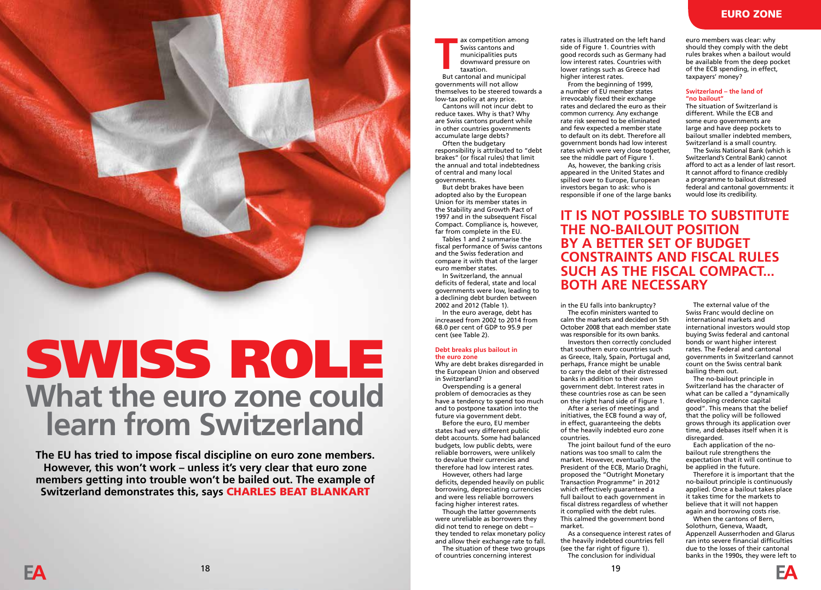### EURO ZONE

euro members was clear: why rules brakes when a bailout would be available from the deep pocket

## **Switzerland – the land of**

The situation of Switzerland is

Switzerland's Central Bank) cannot It cannot afford to finance credibly a programme to bailout distressed would lose its credibility.

## **IT IS NOT POSSIBLE TO SUBSTITUTE CONSTRAINTS AND FISCAL RULES SUCH AS THE FISCAL COMPACT...**

in the EU falls into bankruptcy?

ax competition among Swiss cantons and municipalities puts downward pressure on

taxation. ax competition among<br>
Swiss cantons and<br>
municipalities puts<br>
downward pressure of<br>
taxation.<br>
But cantonal and municipal

governments.

euro member states. In Switzerland, the annual deficits of federal, state and local governments were low, leading to a declining debt burden between 2002 and 2012 (Table 1). In the euro average, debt has increased from 2002 to 2014 from 68.0 per cent of GDP to 95.9 per

cent (see Table 2).

**the euro zone**

in Switzerland?

**Debt breaks plus bailout in** 

Overspending is a general problem of democracies as they have a tendency to spend too much and to postpone taxation into the future via government debt. Before the euro, EU member states had very different public debt accounts. Some had balanced budgets, low public debts, were reliable borrowers, were unlikely to devalue their currencies and therefore had low interest rates. However, others had large deficits, depended heavily on public borrowing, depreciating currencies and were less reliable borrowers facing higher interest rates. Though the latter governments were unreliable as borrowers they did not tend to renege on debt – they tended to relax monetary policy and allow their exchange rate to fall. The situation of these two groups of countries concerning interest

Why are debt brakes disregarded in the European Union and observed

governments will not allow themselves to be steered towards a low-tax policy at any price. Cantons will not incur debt to reduce taxes. Why is that? Why are Swiss cantons prudent while in other countries governments accumulate large debts? Often the budgetary responsibility is attributed to "debt brakes" (or fiscal rules) that limit the annual and total indebtedness of central and many local

But debt brakes have been adopted also by the European Union for its member states in the Stability and Growth Pact of 1997 and in the subsequent Fiscal Compact. Compliance is, however, far from complete in the EU. Tables 1 and 2 summarise the fiscal performance of Swiss cantons and the Swiss federation and compare it with that of the larger

> The ecofin ministers wanted to calm the markets and decided on 5th October 2008 that each member state was responsible for its own banks. Investors then correctly concluded that southern euro countries such as Greece, Italy, Spain, Portugal and, perhaps, France might be unable to carry the debt of their distressed banks in addition to their own government debt. Interest rates in these countries rose as can be seen on the right hand side of Figure 1.

After a series of meetings and initiatives, the ECB found a way of, in effect, guaranteeing the debts of the heavily indebted euro zone countries.

nations was too small to calm the market. However, eventually, the President of the ECB, Mario Draghi, proposed the "Outright Monetary Transaction Programme" in 2012 which effectively guaranteed a full bailout to each government in fiscal distress regardless of whether it complied with the debt rules. This calmed the government bond

As a consequence interest rates of the heavily indebted countries fell (see the far right of figure 1). The conclusion for individual

should they comply with the debt of the ECB spending, in effect, taxpayers' money?

## **"no bailout"**

different. While the ECB and some euro governments are large and have deep pockets to bailout smaller indebted members, Switzerland is a small country. The Swiss National Bank (which is

afford to act as a lender of last resort. federal and cantonal governments: it

**THE NO-BAILOUT POSITION BY A BETTER SET OF BUDGET BOTH ARE NECESSARY**

rates is illustrated on the left hand side of Figure 1. Countries with good records such as Germany had low interest rates. Countries with lower ratings such as Greece had

From the beginning of 1999, a number of EU member states irrevocably fixed their exchange rates and declared the euro as their common currency. Any exchange rate risk seemed to be eliminated and few expected a member state to default on its debt. Therefore all government bonds had low interest rates which were very close together, see the middle part of Figure 1. As, however, the banking crisis appeared in the United States and spilled over to Europe, European investors began to ask: who is responsible if one of the large banks

higher interest rates.

The joint bailout fund of the euro market.

The external value of the Swiss Franc would decline on international markets and international investors would stop buying Swiss federal and cantonal bonds or want higher interest rates. The Federal and cantonal governments in Switzerland cannot count on the Swiss central bank bailing them out.

The no-bailout principle in Switzerland has the character of what can be called a "dynamically developing credence capital good". This means that the belief that the policy will be followed grows through its application over time, and debases itself when it is disregarded.

Each application of the nobailout rule strengthens the expectation that it will continue to be applied in the future.

Therefore it is important that the no-bailout principle is continuously applied. Once a bailout takes place it takes time for the markets to believe that it will not happen again and borrowing costs rise.

When the cantons of Bern, Solothurn, Geneva, Waadt, Appenzell Ausserrhoden and Glarus ran into severe financial difficulties due to the losses of their cantonal banks in the 1990s, they were left to



# SWISS ROLE What the euro zone could **learn from Switzerland**

**The EU has tried to impose fiscal discipline on euro zone members. However, this won't work – unless it's very clear that euro zone members getting into trouble won't be bailed out. The example of Switzerland demonstrates this, says** CHARLES BEAT BLANKART